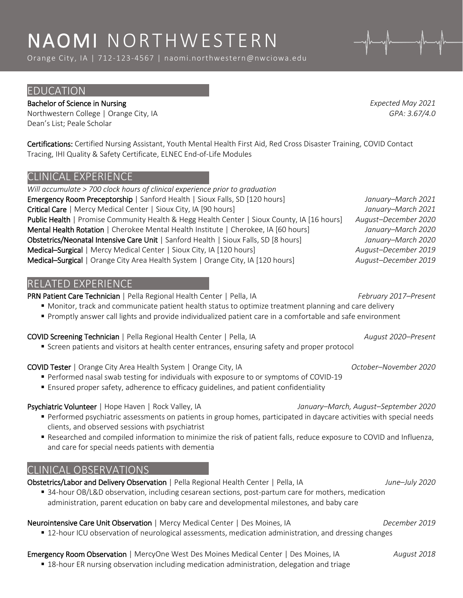# NAOMI NORTHWESTERN

Orange City, IA | 712-123-4567 | naomi.northwestern@nwciowa.edu

# EDUCATION

# Bachelor of Science in Nursing *Expected May 2021*

Northwestern College | Orange City, IA *GPA: 3.67/4.0* Dean's List; Peale Scholar

Certifications: Certified Nursing Assistant, Youth Mental Health First Aid, Red Cross Disaster Training, COVID Contact Tracing, IHI Quality & Safety Certificate, ELNEC End-of-Life Modules

# CLINICAL EXPERIENCE

*Will accumulate > 700 clock hours of clinical experience prior to graduation* Emergency Room Preceptorship | Sanford Health | Sioux Falls, SD [120 hours] *January–March 2021* Critical Care | Mercy Medical Center | Sioux City, IA [90 hours] *January–March 2021* Public Health | Promise Community Health & Hegg Health Center | Sioux County, IA [16 hours] *August–December 2020* Mental Health Rotation | Cherokee Mental Health Institute | Cherokee, IA [60 hours] *January–March 2020* Obstetrics/Neonatal Intensive Care Unit | Sanford Health | Sioux Falls, SD [8 hours] *January–March 2020* Medical–Surgical | Mercy Medical Center | Sioux City, IA [120 hours] *August–December 2019* Medical–Surgical | Orange City Area Health System | Orange City, IA [120 hours] *August–December 2019*

# RELATED EXPERIENCE

PRN Patient Care Technician | Pella Regional Health Center | Pella, IA *February 2017–Present*

- Monitor, track and communicate patient health status to optimize treatment planning and care delivery
- Promptly answer call lights and provide individualized patient care in a comfortable and safe environment

### COVID Screening Technician | Pella Regional Health Center | Pella, IA *August 2020–Present*

**Screen patients and visitors at health center entrances, ensuring safety and proper protocol** 

### COVID Tester | Orange City Area Health System | Orange City, IA *October–November 2020*

- Performed nasal swab testing for individuals with exposure to or symptoms of COVID-19
- Ensured proper safety, adherence to efficacy guidelines, and patient confidentiality

### Psychiatric Volunteer | Hope Haven | Rock Valley, IA *January–March, August–September 2020*

- Performed psychiatric assessments on patients in group homes, participated in daycare activities with special needs clients, and observed sessions with psychiatrist
- Researched and compiled information to minimize the risk of patient falls, reduce exposure to COVID and Influenza, and care for special needs patients with dementia

# CLINICAL OBSERVATIONS

Obstetrics/Labor and Delivery Observation | Pella Regional Health Center | Pella, IA *June–July 2020*

 34-hour OB/L&D observation, including cesarean sections, post-partum care for mothers, medication administration, parent education on baby care and developmental milestones, and baby care

# Neurointensive Care Unit Observation | Mercy Medical Center | Des Moines, IA *December 2019*

**12-hour ICU observation of neurological assessments, medication administration, and dressing changes** 

# Emergency Room Observation | MercyOne West Des Moines Medical Center | Des Moines, IA *August 2018*

**18-hour ER nursing observation including medication administration, delegation and triage**